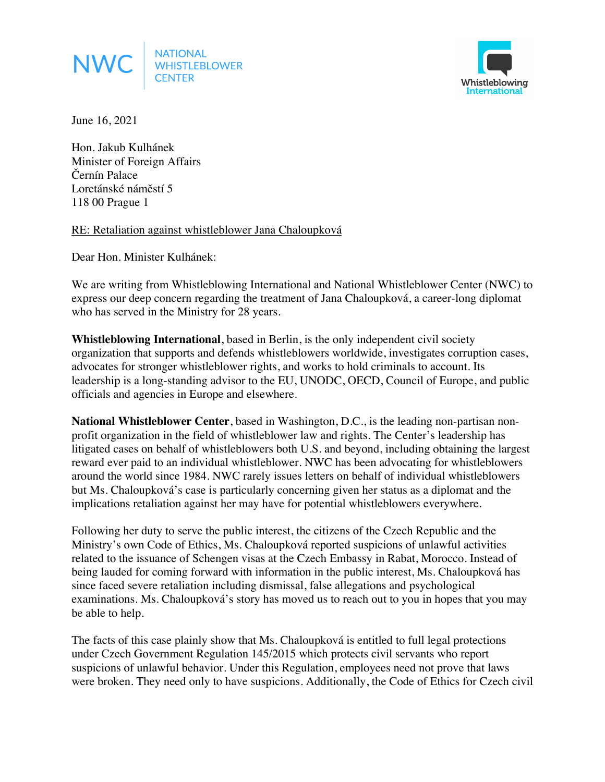



June 16, 2021

Hon. Jakub Kulhánek Minister of Foreign Affairs Černín Palace Loretánské náměstí 5 118 00 Prague 1

RE: Retaliation against whistleblower Jana Chaloupková

Dear Hon. Minister Kulhánek:

We are writing from Whistleblowing International and National Whistleblower Center (NWC) to express our deep concern regarding the treatment of Jana Chaloupková, a career-long diplomat who has served in the Ministry for 28 years.

**Whistleblowing International**, based in Berlin, is the only independent civil society organization that supports and defends whistleblowers worldwide, investigates corruption cases, advocates for stronger whistleblower rights, and works to hold criminals to account. Its leadership is a long-standing advisor to the EU, UNODC, OECD, Council of Europe, and public officials and agencies in Europe and elsewhere.

**National Whistleblower Center**, based in Washington, D.C., is the leading non-partisan nonprofit organization in the field of whistleblower law and rights. The Center's leadership has litigated cases on behalf of whistleblowers both U.S. and beyond, including obtaining the largest reward ever paid to an individual whistleblower. NWC has been advocating for whistleblowers around the world since 1984. NWC rarely issues letters on behalf of individual whistleblowers but Ms. Chaloupková's case is particularly concerning given her status as a diplomat and the implications retaliation against her may have for potential whistleblowers everywhere.

Following her duty to serve the public interest, the citizens of the Czech Republic and the Ministry's own Code of Ethics, Ms. Chaloupková reported suspicions of unlawful activities related to the issuance of Schengen visas at the Czech Embassy in Rabat, Morocco. Instead of being lauded for coming forward with information in the public interest, Ms. Chaloupková has since faced severe retaliation including dismissal, false allegations and psychological examinations. Ms. Chaloupková's story has moved us to reach out to you in hopes that you may be able to help.

The facts of this case plainly show that Ms. Chaloupková is entitled to full legal protections under Czech Government Regulation 145/2015 which protects civil servants who report suspicions of unlawful behavior. Under this Regulation, employees need not prove that laws were broken. They need only to have suspicions. Additionally, the Code of Ethics for Czech civil